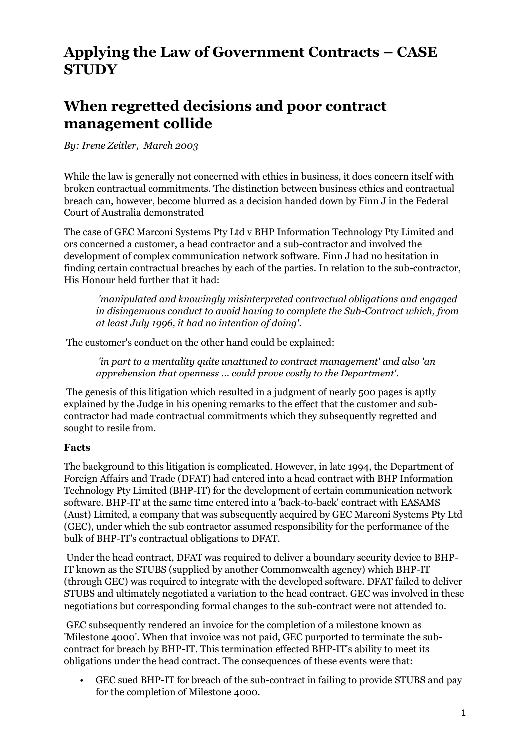## **Applying the Law of Government Contracts – CASE STUDY**

## **When regretted decisions and poor contract management collide**

*By: Irene Zeitler, March 2003*

While the law is generally not concerned with ethics in business, it does concern itself with broken contractual commitments. The distinction between business ethics and contractual breach can, however, become blurred as a decision handed down by Finn J in the Federal Court of Australia demonstrated

The case of GEC Marconi Systems Pty Ltd v BHP Information Technology Pty Limited and ors concerned a customer, a head contractor and a sub-contractor and involved the development of complex communication network software. Finn J had no hesitation in finding certain contractual breaches by each of the parties. In relation to the sub-contractor, His Honour held further that it had:

*'manipulated and knowingly misinterpreted contractual obligations and engaged in disingenuous conduct to avoid having to complete the Sub-Contract which, from at least July 1996, it had no intention of doing'.*

The customer's conduct on the other hand could be explained:

*'in part to a mentality quite unattuned to contract management' and also 'an apprehension that openness … could prove costly to the Department'.*

The genesis of this litigation which resulted in a judgment of nearly 500 pages is aptly explained by the Judge in his opening remarks to the effect that the customer and subcontractor had made contractual commitments which they subsequently regretted and sought to resile from.

## **Facts**

The background to this litigation is complicated. However, in late 1994, the Department of Foreign Affairs and Trade (DFAT) had entered into a head contract with BHP Information Technology Pty Limited (BHP-IT) for the development of certain communication network software. BHP-IT at the same time entered into a 'back-to-back' contract with EASAMS (Aust) Limited, a company that was subsequently acquired by GEC Marconi Systems Pty Ltd (GEC), under which the sub contractor assumed responsibility for the performance of the bulk of BHP-IT's contractual obligations to DFAT.

Under the head contract, DFAT was required to deliver a boundary security device to BHP-IT known as the STUBS (supplied by another Commonwealth agency) which BHP-IT (through GEC) was required to integrate with the developed software. DFAT failed to deliver STUBS and ultimately negotiated a variation to the head contract. GEC was involved in these negotiations but corresponding formal changes to the sub-contract were not attended to.

GEC subsequently rendered an invoice for the completion of a milestone known as 'Milestone 4000'. When that invoice was not paid, GEC purported to terminate the subcontract for breach by BHP-IT. This termination effected BHP-IT's ability to meet its obligations under the head contract. The consequences of these events were that:

• GEC sued BHP-IT for breach of the sub-contract in failing to provide STUBS and pay for the completion of Milestone 4000.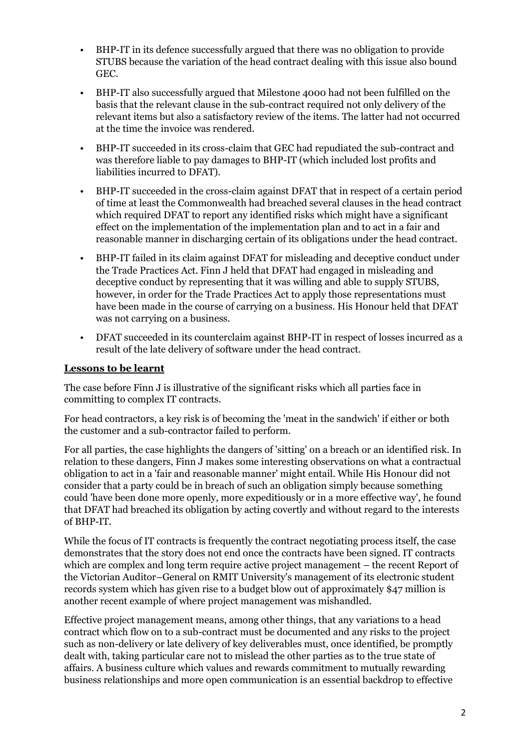- BHP-IT in its defence successfully argued that there was no obligation to provide STUBS because the variation of the head contract dealing with this issue also bound GEC.
- BHP-IT also successfully argued that Milestone 4000 had not been fulfilled on the basis that the relevant clause in the sub-contract required not only delivery of the relevant items but also a satisfactory review of the items. The latter had not occurred at the time the invoice was rendered.
- BHP-IT succeeded in its cross-claim that GEC had repudiated the sub-contract and was therefore liable to pay damages to BHP-IT (which included lost profits and liabilities incurred to DFAT).
- BHP-IT succeeded in the cross-claim against DFAT that in respect of a certain period of time at least the Commonwealth had breached several clauses in the head contract which required DFAT to report any identified risks which might have a significant effect on the implementation of the implementation plan and to act in a fair and reasonable manner in discharging certain of its obligations under the head contract.
- BHP-IT failed in its claim against DFAT for misleading and deceptive conduct under the Trade Practices Act. Finn J held that DFAT had engaged in misleading and deceptive conduct by representing that it was willing and able to supply STUBS, however, in order for the Trade Practices Act to apply those representations must have been made in the course of carrying on a business. His Honour held that DFAT was not carrying on a business.
- DFAT succeeded in its counterclaim against BHP-IT in respect of losses incurred as a result of the late delivery of software under the head contract.

## **Lessons to be learnt**

The case before Finn J is illustrative of the significant risks which all parties face in committing to complex IT contracts.

For head contractors, a key risk is of becoming the 'meat in the sandwich' if either or both the customer and a sub-contractor failed to perform.

For all parties, the case highlights the dangers of 'sitting' on a breach or an identified risk. In relation to these dangers, Finn J makes some interesting observations on what a contractual obligation to act in a 'fair and reasonable manner' might entail. While His Honour did not consider that a party could be in breach of such an obligation simply because something could 'have been done more openly, more expeditiously or in a more effective way', he found that DFAT had breached its obligation by acting covertly and without regard to the interests of BHP-IT.

While the focus of IT contracts is frequently the contract negotiating process itself, the case demonstrates that the story does not end once the contracts have been signed. IT contracts which are complex and long term require active project management – the recent Report of the Victorian Auditor–General on RMIT University's management of its electronic student records system which has given rise to a budget blow out of approximately \$47 million is another recent example of where project management was mishandled.

Effective project management means, among other things, that any variations to a head contract which flow on to a sub-contract must be documented and any risks to the project such as non-delivery or late delivery of key deliverables must, once identified, be promptly dealt with, taking particular care not to mislead the other parties as to the true state of affairs. A business culture which values and rewards commitment to mutually rewarding business relationships and more open communication is an essential backdrop to effective